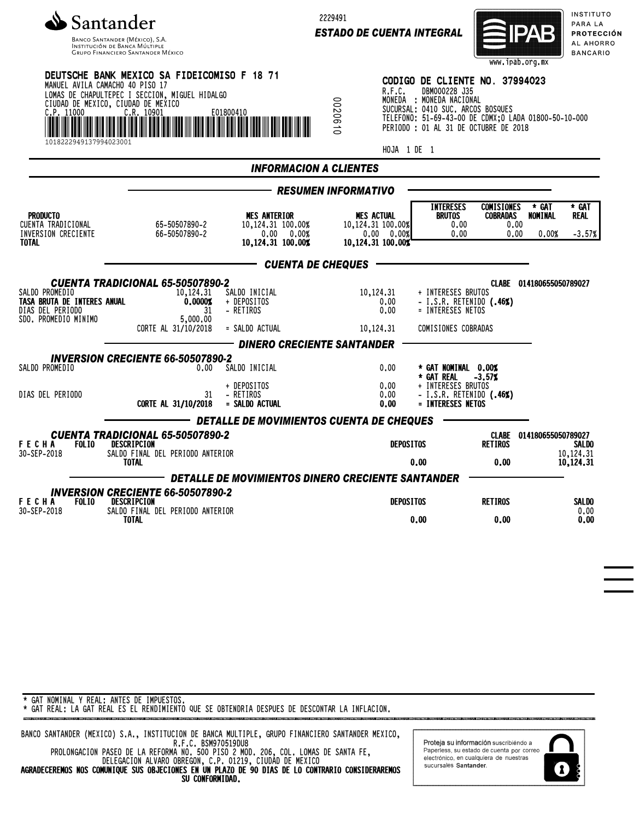

Banco Santander (México), S.A.<br>Institución de Banca Múltiple<br>Grupo Financiero Santander México

2229491

*ESTADO DE CUENTA INTEGRAL*



INSTITUTO PARA LA **PROTECCIÓN** AL AHORRO **BANCARIO** 

| $\frac{C}{\ T\ }$ , 11000<br>1018222949137994023001                                       | DEUTSCHE BANK MEXICO SA FIDEICOMISO F 18 71<br>MANUEL AVILA CAMACHO 40 PISO 17<br>LOMAS DE CHAPULTEPEC I SECCION, MIGUEL HIDALGO<br>CIUDAD DE MEXICO, CIUDAD DE MEXICO<br>WE WANTED TO SALE AND THE CARD CASE OF THE MAIN WAS THE WAY OF THE WARD OF THE WARD OF THE WARD OF THE WAY OF |                                                                                   | R.F.C.<br>00206<br>$\ddot{a}$<br>HOJA 1 DE 1                              | CODIGO DE CLIENTE NO. 37994023<br>DBM000228 J35<br>MONEDA : MONEDA NACIONAL<br>SUCURSAL: 0410 SUC. ARCOS BOSQUES<br>TELEFONO: 51-69-43-00 DE CDMX; 0 LADA 01800-50-10-000<br>PERIODO : 01 AL 31 DE OCTUBRE DE 2018 |                                                                                      |
|-------------------------------------------------------------------------------------------|-----------------------------------------------------------------------------------------------------------------------------------------------------------------------------------------------------------------------------------------------------------------------------------------|-----------------------------------------------------------------------------------|---------------------------------------------------------------------------|--------------------------------------------------------------------------------------------------------------------------------------------------------------------------------------------------------------------|--------------------------------------------------------------------------------------|
|                                                                                           |                                                                                                                                                                                                                                                                                         | <b>INFORMACION A CLIENTES</b>                                                     |                                                                           |                                                                                                                                                                                                                    |                                                                                      |
|                                                                                           |                                                                                                                                                                                                                                                                                         |                                                                                   | <b>RESUMEN INFORMATIVO</b>                                                |                                                                                                                                                                                                                    |                                                                                      |
| <b>PRODUCTO</b><br>CUENTA TRADICIONAL<br>INVERSION CRECIENTE<br><b>TOTAL</b>              | 65-50507890-2<br>66-50507890-2                                                                                                                                                                                                                                                          | <b>MES ANTERIOR</b><br>10.124.31 100.00%<br>$0.00\%$<br>0.00<br>10,124.31 100.00% | <b>MES ACTUAL</b><br>10,124.31 100.00%<br>0.00 0.00%<br>10,124.31 100.00% | <b>INTERESES</b><br><b>COMISIONES</b><br><b>BRUTOS</b><br><b>COBRADAS</b><br>0.00<br>0.00                                                                                                                          | * GAT<br>* GAT<br><b>NOMINAL</b><br><b>REAL</b><br>0.00<br>0.00<br>0.00%<br>$-3.57%$ |
|                                                                                           |                                                                                                                                                                                                                                                                                         | <b>CUENTA DE CHEQUES</b>                                                          |                                                                           |                                                                                                                                                                                                                    |                                                                                      |
| SALDO PROMEDIO<br>TASA BRUTA DE INTERES ANUAL<br>DIAS DEL PERIODO<br>SDO. PROMEDIO MINIMO | <b>CUENTA TRADICIONAL 65-50507890-2</b><br>10,124.31<br>0.0000%<br>31<br>5,000.00<br>CORTE AL 31/10/2018                                                                                                                                                                                | SALDO INICIAL<br>+ DEPOSITOS<br>- RETIROS<br>= SALDO ACTUAL                       | 10,124.31<br>0,00<br>0.00<br>10,124,31                                    | + INTERESES BRUTOS<br>- I.S.R. RETENIDO (.46%)<br>= INTERESES NETOS<br>COMISIONES COBRADAS                                                                                                                         | CLABE 014180655050789027                                                             |
|                                                                                           | <b>INVERSION CRECIENTE 66-50507890-2</b>                                                                                                                                                                                                                                                | <b>DINERO CRECIENTE SANTANDER</b>                                                 |                                                                           |                                                                                                                                                                                                                    |                                                                                      |
| SALDO PROMEDIO<br>DIAS DEL PERIODO                                                        | 0.00<br>31<br>CORTE AL 31/10/2018                                                                                                                                                                                                                                                       | SALDO INICIAL<br>+ DEPOSITOS<br>- RETIROS<br>= SALDO ACTUAL                       | 0.00<br>0.00<br>0.00<br>0.00                                              | * GAT NOMINAL 0.00%<br>* GAT REAL<br>$-3.57%$<br>+ INTERESES BRUTOS<br>- I.S.R. RETENIDO (.46%)<br>= INTERESES NETOS                                                                                               |                                                                                      |
|                                                                                           | CUENTA TRADICIONAL 65-50507890-2                                                                                                                                                                                                                                                        | DETALLE DE MOVIMIENTOS CUENTA DE CHEQUES                                          |                                                                           |                                                                                                                                                                                                                    | CLABE 014180655050789027                                                             |
| FECHA<br>30-SEP-2018                                                                      | FOLIO DESCRIPCION<br>SALDO FINAL DEL PERIODO ANTERIOR<br><b>TOTAL</b><br>DETALLE DE MOVIMIENTOS DINERO CRECIENTE SANTANDER                                                                                                                                                              |                                                                                   | <b>DEPOSITOS</b>                                                          | <b>RETIROS</b><br>0.00<br>0.00                                                                                                                                                                                     | <b>SALDO</b><br>10,124.31<br>10,124,31                                               |
| FECHA<br><b>FOLIO</b>                                                                     | <b>INVERSION CRECIENTE 66-50507890-2</b><br>DESCRIPCION<br>SALDO FINAL DEL PERIODO ANTERIOR<br><b>TOTAL</b>                                                                                                                                                                             |                                                                                   | <b>DEPOSITOS</b>                                                          | <b>RETIROS</b>                                                                                                                                                                                                     | <b>SALDO</b>                                                                         |
| 30-SEP-2018                                                                               |                                                                                                                                                                                                                                                                                         |                                                                                   |                                                                           | 0.00<br>0.00                                                                                                                                                                                                       | 0.00<br>0.00                                                                         |

## \* GAT NOMINAL Y REAL: ANTES DE IMPUESTOS.

\* GAT REAL: LA GAT REAL ES EL RENDIMIENTO QUE SE OBTENDRIA DESPUES DE DESCONTAR LA INFLACION.

BANCO SANTANDER (MEXICO) S.A., INSTITUCION DE BANCA MULTIPLE, GRUPO FINANCIERO SANTANDER MEXICO, R.F.C. BSM970519DU8 PROLONGACION PASEO DE LA REFORMA NO. 500 PISO 2 MOD. 206, COL. LOMAS DE SANTA FE, DELEGACION ALVARO OBREGON, C.P. 01219, CIUDAD DE MEXICO AGRADECEREMOS NOS COMUNIQUE SUS OBJECIONES EN UN PLAZO DE 90 DIAS DE LO CONTRARIO CONSIDERAREMOS SU CONFORMIDAD.

Proteja su información suscribiendo a Paperless, su estado de cuenta por correo<br>electrónico, en cualquiera de nuestras sucursales Santander.